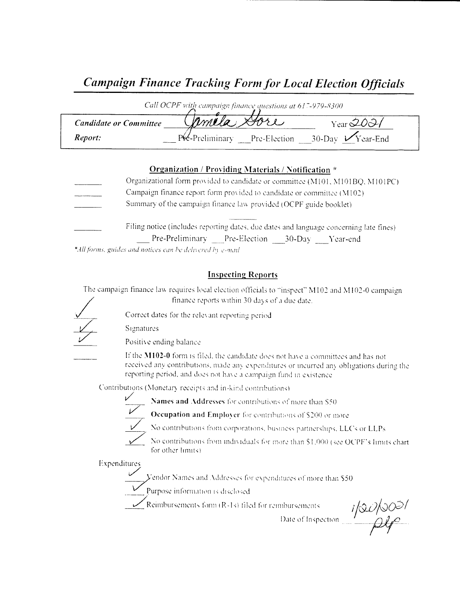# Campaign Finance Tracking Form for Local Election Officials

|                               | Call OCPF with campaign finance questions at 617-979-8300 |                              |
|-------------------------------|-----------------------------------------------------------|------------------------------|
| <b>Candidate or Committee</b> | Mmela Dore                                                | Year $2031$                  |
| Report:                       | Pre-Preliminary Pre-Election                              | $30$ -Dav $\sqrt{Y}$ ear-End |

#### Organization / Providing Materials / Notification \*

| Organizational form provided to candidate or committee (M101, M101BQ, M101PC)          |
|----------------------------------------------------------------------------------------|
| Campaign finance report form provided to candidate or committee (M102)                 |
| Summary of the campaign finance law provided (OCPF guide booklet)                      |
|                                                                                        |
| Filing notice (includes reporting dates, due dates and language concerning late fines) |

Pre-Preliminary Pre-Election 30-Day Year-end

\*All forms, guides and notices can be delivered by e-mail

### Inspecting Reports

The campaign finance law requires local election officials to "inspect" M102 and M102-0 campaign finance reports within 30 days of <sup>a</sup> due date.



Correct dates for the rele\ ant reporting period

Signatures

Positive ending balance

If the M102-0 form is filed, the candidate does not have a committees and has not received any contributions, made any expenditures or incurred any obligations during the reporting period, and does not have a campaign fund in existence

Contributions (Monetary receipts and in-kind contributions)



 $\frac{1}{2}$  Names and Addresses for contributions of more than S50

Occupation and Employer for contributions of \$200 or more

No contributions from corporations, business partnerships, LLCs or LLPs

No contributions from individuals for more than \$1,000 (see OCPF's limits chart for other limits).

Expenditures

Endor Names and Addresses for expenditures of more than \$50<br>Purpose information is disclosed

 $\sqrt{\frac{2}{n}}$  Reimbursements form  $(R-1s)$  filed for reimbursements

moursements  $\frac{i}{\sqrt{2}U/\sqrt{20}}$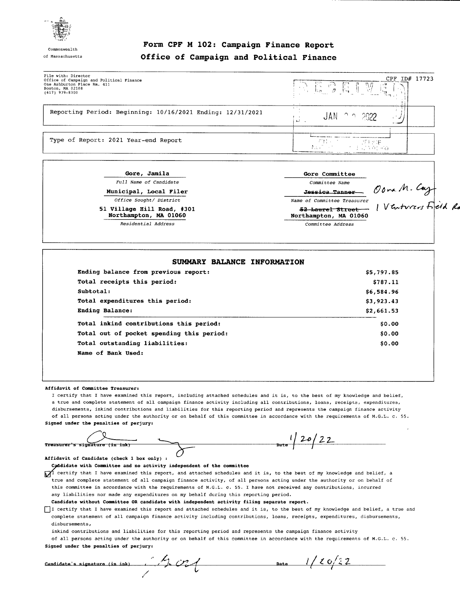

Commonwealt

#### Form CPF <sup>M</sup> 102: Campaign Finance Report of Massachusetts Office of Campaign and Political Finance

| File with: Director<br>Office of Campaign and Political Finance<br>One Ashburton Place Rm. 411<br>Boston, MA 02108<br>$(617)$ 979-8300 | CPF ID# 17723<br>$\mathbb{E} \oplus \mathbb{E}$ $\mathbb{E}$<br>름 |  |
|----------------------------------------------------------------------------------------------------------------------------------------|-------------------------------------------------------------------|--|
| Reporting Period: Beginning: 10/16/2021 Ending: 12/31/2021                                                                             | JAN.<br>- ∩ n - 2022.<br>$h = -1$                                 |  |
| Type of Report: 2021 Year-end Report                                                                                                   | 子付けにつ<br>一下手 化戊烷<br><b>INVERSION</b><br>アーバイン おおさき ありのこ           |  |

| Gore, Jamila                                        | Gore Committee                            |                     |
|-----------------------------------------------------|-------------------------------------------|---------------------|
| Full Name of Candidate                              | Committee Name                            |                     |
| Municipal, Local Filer                              | Jessica Tanner                            | Oona M. Cast        |
| Office Sought/ District                             | Name of Committee Treasurer               |                     |
| 51 Village Hill Road, #301<br>Northampton, MA 01060 | 52 Laurel Street<br>Northampton, MA 01060 | 1 Venturers Field R |
| Residential Address                                 | Committee Address                         |                     |

| Ending balance from previous report:      | \$5,797.85 |
|-------------------------------------------|------------|
| Total receipts this period:               | \$787.11   |
| Subtotal:                                 | \$6,584.96 |
| Total expenditures this period:           | \$3,923.43 |
| Ending Balance:                           | \$2,661.53 |
| Total inkind contributions this period:   | \$0.00     |
| Total out of pocket spending this period: | \$0.00     |
| Total outstanding liabilities:            | \$0.00     |
| Name of Bank Used:                        |            |

#### Affidavit of Committee Treasurer:

I certify that I have examined this report, including attached schedules and it is, to the best of my knowledge and belief, <sup>a</sup> true and complete statement of all campaign finance activity including all contributions, loans, receipts, expenditures, disbursements, inkind contributions and liabilities for this reporting period and represents the campaign finance activity of all persons acting under the authority or on behalf of this committee in accordance with the requirements of M. G. L. c. 55. Signed under the penalties of perjury:

 $20/2$ Treasurer's signature (in luk)  $\begin{bmatrix} 1 & 20 \\ 2 & 1 \end{bmatrix}$ Treasurer's signature (in ink)<br>
Affidavit of Candidate (check 1 box only) :<br>
Candidate with Committee and no activity independent of the committee

 $\chi$  certify that I have examined this report, and attached schedules and it is, to the best of my knowledge and belief, a true and complete statement of all campaign finance activity, of all persons acting under the authority or on behalf of this committee in accordance with the requirements of M.G.L. c. 55. I have not received any contributions, incurred any liabilities nor made any expenditures on my behalf during this reporting period.

Candidate without Committee OR candidate with independent activity filing separate report.

I certify that I have examined this report and attached schedules and it is, to the best of my knowledge and belief, a true and complete statement of all campaign finance activity including contributions, loans, receipts, expenditures, disbursements, disbursements,

inkind contributions and liabilities for this reporting period and represents the campaign finance activity

of all persons acting under the authority or on behalf of this committee in accordance with the requirements of M.G.L. c. 55. Signed under the penalties of perjury:

| Candidate's signature (in ink) |  |
|--------------------------------|--|
|                                |  |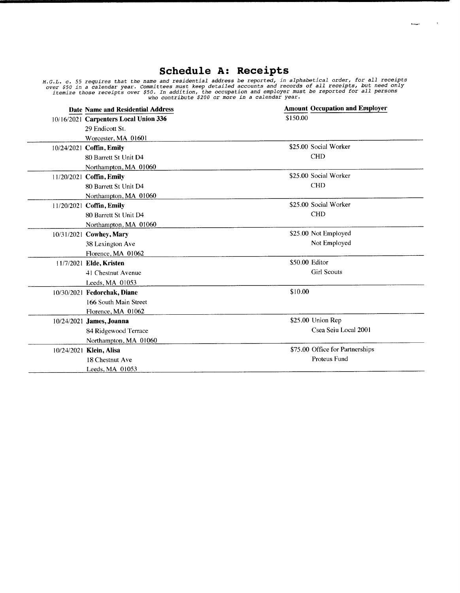## Schedule A: Receipts

 $k$  equals

 $\sim 100$ 

M.G.L. c. 55 requires that the name and residential address be reported, in alphabetical order, for all receipt over \$50 in a calendar year. Committees must keep detailed accounts and records of all receipts, but need only<br>itemize those receipts over \$50. In addition, the occupation and employer must be reported for all persons<br>who

| Date Name and Residential Address     | <b>Amount Occupation and Employer</b> |
|---------------------------------------|---------------------------------------|
| 10/16/2021 Carpenters Local Union 336 | \$150.00                              |
| 29 Endicott St.                       |                                       |
| Worcester, MA 01601                   |                                       |
| 10/24/2021 Coffin, Emily              | \$25.00 Social Worker                 |
| 80 Barrett St Unit D4                 | <b>CHD</b>                            |
| Northampton, MA 01060                 |                                       |
| 11/20/2021 Coffin, Emily              | \$25.00 Social Worker                 |
| 80 Barrett St Unit D4                 | <b>CHD</b>                            |
| Northampton, MA 01060                 |                                       |
| 11/20/2021 Coffin, Emily              | \$25.00 Social Worker                 |
| 80 Barrett St Unit D4                 | <b>CHD</b>                            |
| Northampton, MA 01060                 |                                       |
| 10/31/2021 Cowhey, Mary               | \$25.00 Not Employed                  |
| 38 Lexington Ave                      | Not Employed                          |
| Florence, MA 01062                    |                                       |
| 11/7/2021 Elde, Kristen               | \$50.00 Editor                        |
| 41 Chestnut Avenue                    | <b>Girl Scouts</b>                    |
| Leeds, MA 01053                       |                                       |
| 10/30/2021 Fedorchak, Diane           | \$10.00                               |
| 166 South Main Street                 |                                       |
| Florence, MA 01062                    |                                       |
| 10/24/2021 James, Joanna              | \$25.00 Union Rep                     |
| 84 Ridgewood Terrace                  | Csea Seiu Local 2001                  |
| Northampton, MA 01060                 |                                       |
| 10/24/2021 Klein, Alisa               | \$75.00 Office for Partnerships       |
| 18 Chestnut Ave                       | <b>Proteus Fund</b>                   |
| Leeds, MA 01053                       |                                       |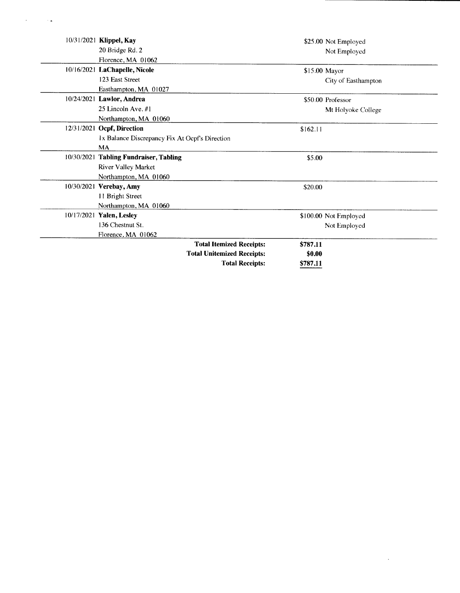| 10/31/2021 Klippel, Kay                        | \$25.00 Not Employed  |
|------------------------------------------------|-----------------------|
| 20 Bridge Rd. 2                                | Not Employed          |
| Florence, MA 01062                             |                       |
| 10/16/2021 LaChapelle, Nicole                  | \$15.00 Mayor         |
| 123 East Street                                | City of Easthampton   |
| Easthampton, MA 01027                          |                       |
| 10/24/2021 Lawlor, Andrea                      | \$50.00 Professor     |
| 25 Lincoln Ave. #1                             | Mt Holyoke College    |
| Northampton, MA 01060                          |                       |
| 12/31/2021 Ocpf, Direction                     | \$162.11              |
| 1x Balance Discrepancy Fix At Ocpf's Direction |                       |
| <b>MA</b>                                      |                       |
| 10/30/2021 Tabling Fundraiser, Tabling         | \$5.00                |
| River Valley Market                            |                       |
| Northampton, MA 01060                          |                       |
| 10/30/2021 Verebay, Amy                        | \$20.00               |
| 11 Bright Street                               |                       |
| Northampton, MA 01060                          |                       |
| 10/17/2021 Yalen, Lesley                       | \$100.00 Not Employed |
| 136 Chestnut St.                               | Not Employed          |
| Florence, MA 01062                             |                       |
| <b>Total Itemized Receipts:</b>                | \$787.11              |
| <b>Total Unitemized Receipts:</b>              | \$0.00                |
| <b>Total Receipts:</b>                         | \$787.11              |

 $\mathcal{L}^{\text{max}}_{\text{max}}$  and  $\mathcal{L}^{\text{max}}_{\text{max}}$ 

 $\label{eq:2.1} \mathcal{A} = \mathcal{A} \times \mathcal{A} \times \mathcal{A}$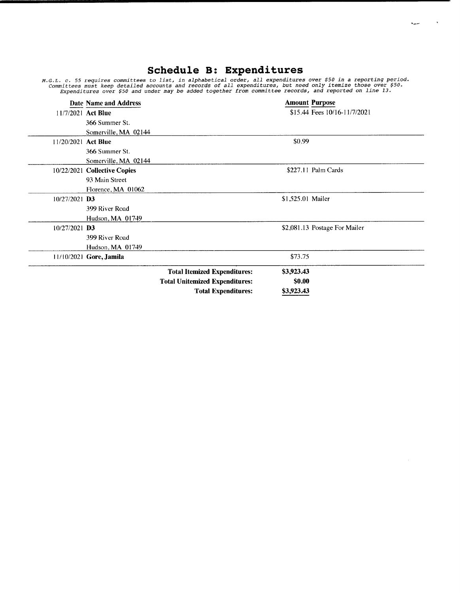# Schedule B: Expenditure

M.G.L. c. 55 requires committees to list, in alphabetical order, all expenditures over \$50 in a reporting period Committees must keep detailed accounts and records of all expenditures, but need only itemize those over \$50.<br>Expenditures over \$50 and under may be added together from committee records, and reported on line 13.

|                     | <b>Date Name and Address</b> |                                       | <b>Amount Purpose</b>         |
|---------------------|------------------------------|---------------------------------------|-------------------------------|
| 11/7/2021 Act Blue  |                              |                                       | \$15.44 Fees 10/16-11/7/2021  |
|                     | 366 Summer St.               |                                       |                               |
|                     | Somerville, MA 02144         |                                       |                               |
| 11/20/2021 Act Blue |                              |                                       | \$0.99                        |
|                     | 366 Summer St.               |                                       |                               |
|                     | Somerville, MA 02144         |                                       |                               |
|                     | 10/22/2021 Collective Copies |                                       | \$227.11 Palm Cards           |
|                     | 93 Main Street               |                                       |                               |
|                     | Florence, MA 01062           |                                       |                               |
| $10/27/2021$ D3     |                              |                                       | \$1,525.01 Mailer             |
|                     | 399 River Road               |                                       |                               |
|                     | Hudson, MA 01749             |                                       |                               |
| $10/27/2021$ D3     |                              |                                       | \$2,081.13 Postage For Mailer |
|                     | 399 River Road               |                                       |                               |
|                     | Hudson, MA 01749             |                                       |                               |
|                     | 11/10/2021 Gore, Jamila      |                                       | \$73.75                       |
|                     |                              | <b>Total Itemized Expenditures:</b>   | \$3,923.43                    |
|                     |                              | <b>Total Unitemized Expenditures:</b> | \$0.00                        |
|                     |                              | <b>Total Expenditures:</b>            | \$3,923.43                    |

 $\bar{z}$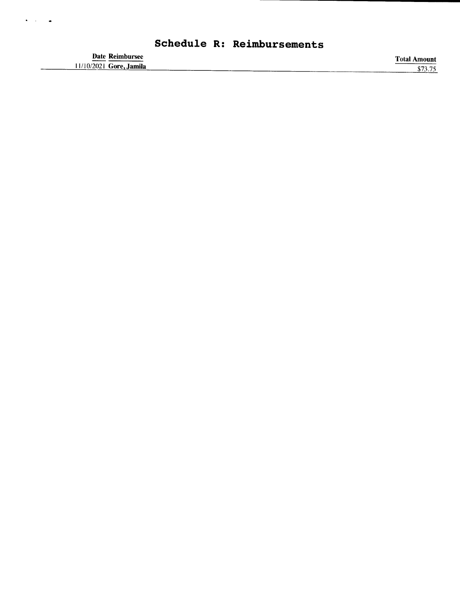|                                            | Schedule R: Reimbursements |                     |
|--------------------------------------------|----------------------------|---------------------|
| Date Reimbursee<br>11/10/2021 Gore, Jamila |                            | <b>Total Amount</b> |
|                                            |                            |                     |

 $\bullet$  ,  $\bullet$  ,  $\bullet$  ,  $\bullet$  ,  $\bullet$